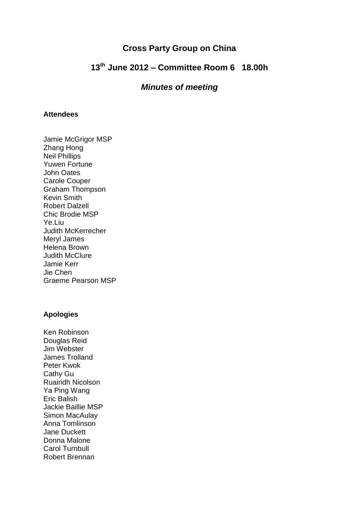### **Cross Party Group on China**

# **13th June 2012 – Committee Room 6 18.00h**

### *Minutes of meeting*

#### **Attendees**

Jamie McGrigor MSP Zhang Hong Neil Phillips Yuwen Fortune John Oates Carole Couper Graham Thompson Kevin Smith Robert Dalzell Chic Brodie MSP Ye.Liu Judith McKerrecher Meryl James Helena Brown Judith McClure Jamie Kerr Jie Chen Graeme Pearson MSP

#### **Apologies**

Ken Robinson Douglas Reid Jim Webster James Trolland Peter Kwok Cathy Gu Ruairidh Nicolson Ya Ping Wang Eric Balish Jackie Baillie MSP Simon MacAulay Anna Tomlinson Jane Duckett Donna Malone Carol Turnbull Robert Brennan